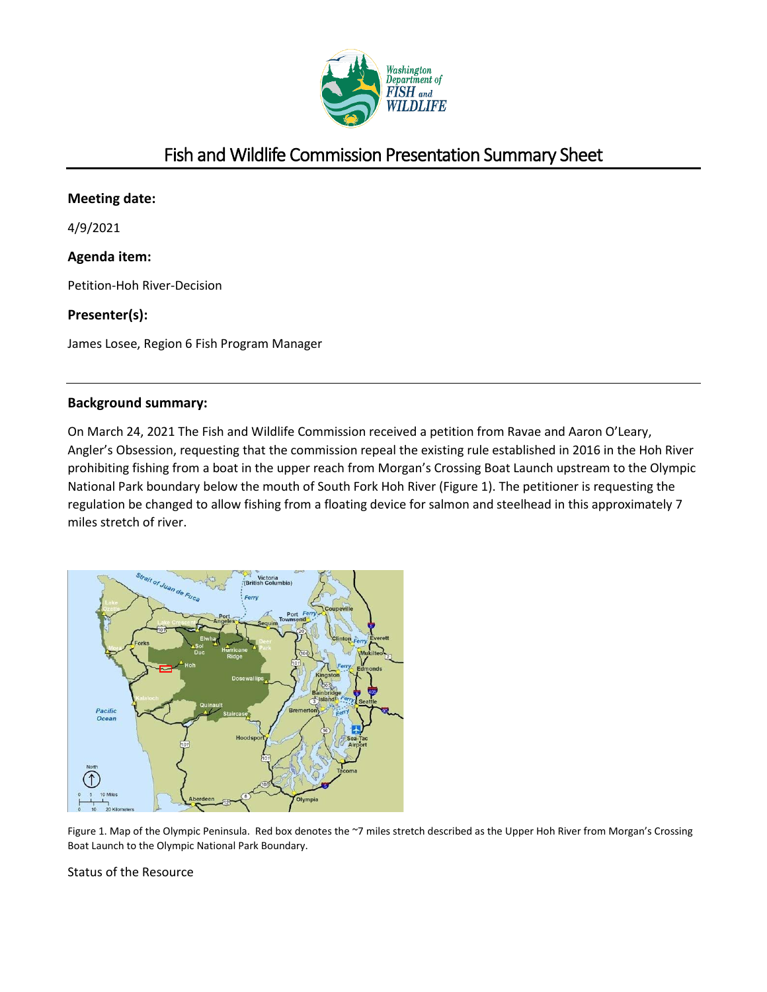

# Fish and Wildlife Commission Presentation Summary Sheet

# **Meeting date:**

4/9/2021

# **Agenda item:**

Petition-Hoh River-Decision

# **Presenter(s):**

James Losee, Region 6 Fish Program Manager

# **Background summary:**

On March 24, 2021 The Fish and Wildlife Commission received a petition from Ravae and Aaron O'Leary, Angler's Obsession, requesting that the commission repeal the existing rule established in 2016 in the Hoh River prohibiting fishing from a boat in the upper reach from Morgan's Crossing Boat Launch upstream to the Olympic National Park boundary below the mouth of South Fork Hoh River (Figure 1). The petitioner is requesting the regulation be changed to allow fishing from a floating device for salmon and steelhead in this approximately 7 miles stretch of river.



Figure 1. Map of the Olympic Peninsula. Red box denotes the ~7 miles stretch described as the Upper Hoh River from Morgan's Crossing Boat Launch to the Olympic National Park Boundary.

Status of the Resource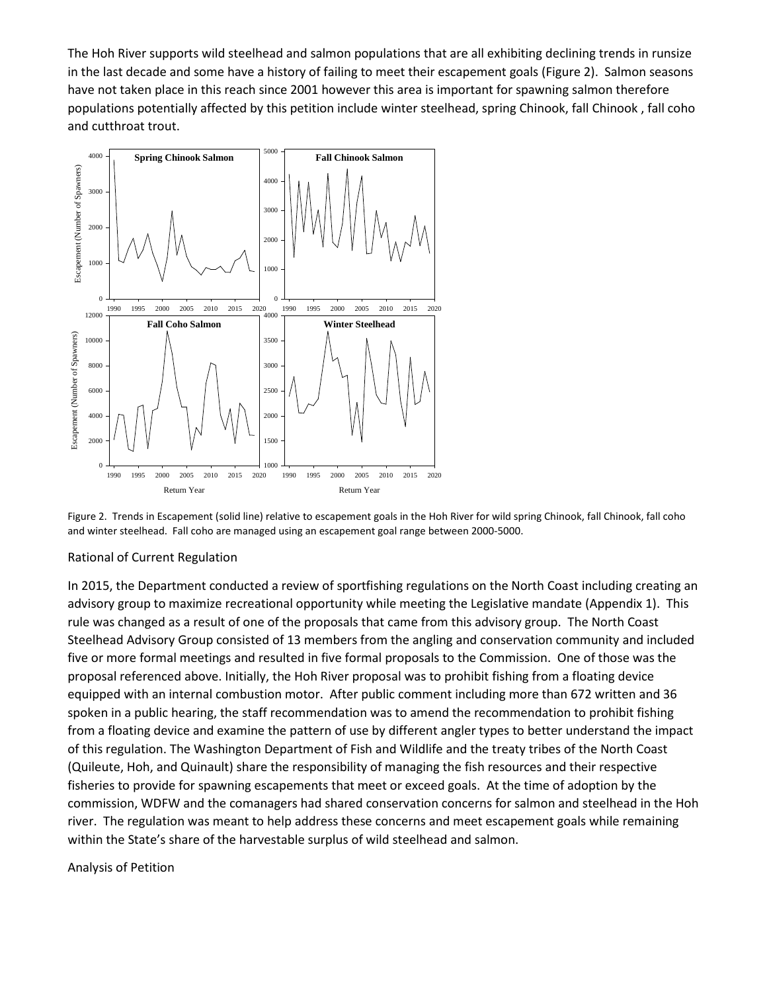The Hoh River supports wild steelhead and salmon populations that are all exhibiting declining trends in runsize in the last decade and some have a history of failing to meet their escapement goals (Figure 2). Salmon seasons have not taken place in this reach since 2001 however this area is important for spawning salmon therefore populations potentially affected by this petition include winter steelhead, spring Chinook, fall Chinook , fall coho and cutthroat trout.



Figure 2. Trends in Escapement (solid line) relative to escapement goals in the Hoh River for wild spring Chinook, fall Chinook, fall coho and winter steelhead. Fall coho are managed using an escapement goal range between 2000-5000.

#### Rational of Current Regulation

In 2015, the Department conducted a review of sportfishing regulations on the North Coast including creating an advisory group to maximize recreational opportunity while meeting the Legislative mandate (Appendix 1). This rule was changed as a result of one of the proposals that came from this advisory group. The North Coast Steelhead Advisory Group consisted of 13 members from the angling and conservation community and included five or more formal meetings and resulted in five formal proposals to the Commission. One of those was the proposal referenced above. Initially, the Hoh River proposal was to prohibit fishing from a floating device equipped with an internal combustion motor. After public comment including more than 672 written and 36 spoken in a public hearing, the staff recommendation was to amend the recommendation to prohibit fishing from a floating device and examine the pattern of use by different angler types to better understand the impact of this regulation. The Washington Department of Fish and Wildlife and the treaty tribes of the North Coast (Quileute, Hoh, and Quinault) share the responsibility of managing the fish resources and their respective fisheries to provide for spawning escapements that meet or exceed goals. At the time of adoption by the commission, WDFW and the comanagers had shared conservation concerns for salmon and steelhead in the Hoh river. The regulation was meant to help address these concerns and meet escapement goals while remaining within the State's share of the harvestable surplus of wild steelhead and salmon.

#### Analysis of Petition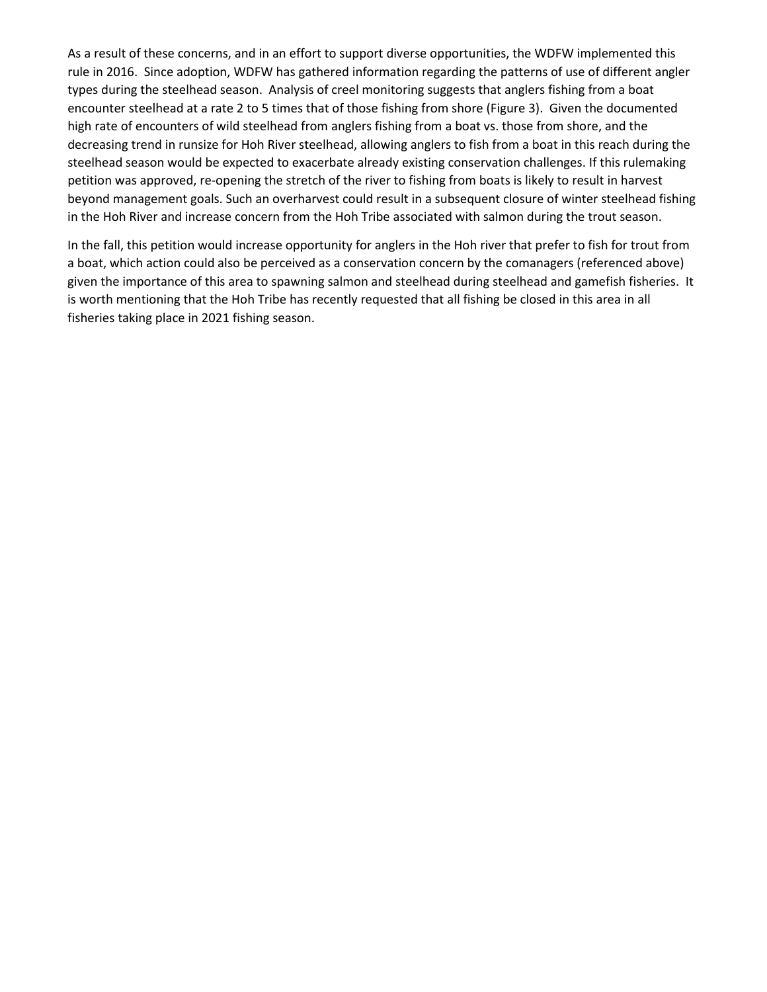As a result of these concerns, and in an effort to support diverse opportunities, the WDFW implemented this rule in 2016. Since adoption, WDFW has gathered information regarding the patterns of use of different angler types during the steelhead season. Analysis of creel monitoring suggests that anglers fishing from a boat encounter steelhead at a rate 2 to 5 times that of those fishing from shore (Figure 3). Given the documented high rate of encounters of wild steelhead from anglers fishing from a boat vs. those from shore, and the decreasing trend in runsize for Hoh River steelhead, allowing anglers to fish from a boat in this reach during the steelhead season would be expected to exacerbate already existing conservation challenges. If this rulemaking petition was approved, re-opening the stretch of the river to fishing from boats is likely to result in harvest beyond management goals. Such an overharvest could result in a subsequent closure of winter steelhead fishing in the Hoh River and increase concern from the Hoh Tribe associated with salmon during the trout season.

In the fall, this petition would increase opportunity for anglers in the Hoh river that prefer to fish for trout from a boat, which action could also be perceived as a conservation concern by the comanagers (referenced above) given the importance of this area to spawning salmon and steelhead during steelhead and gamefish fisheries. It is worth mentioning that the Hoh Tribe has recently requested that all fishing be closed in this area in all fisheries taking place in 2021 fishing season.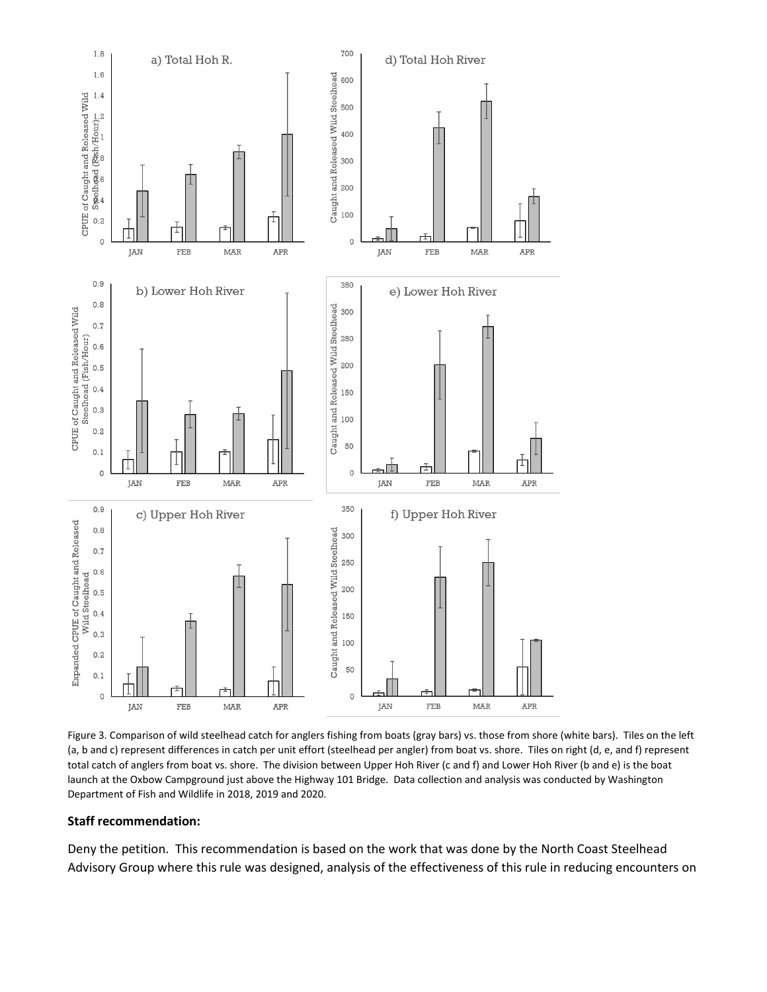

Figure 3. Comparison of wild steelhead catch for anglers fishing from boats (gray bars) vs. those from shore (white bars). Tiles on the left (a, b and c) represent differences in catch per unit effort (steelhead per angler) from boat vs. shore. Tiles on right (d, e, and f) represent total catch of anglers from boat vs. shore. The division between Upper Hoh River (c and f) and Lower Hoh River (b and e) is the boat launch at the Oxbow Campground just above the Highway 101 Bridge. Data collection and analysis was conducted by Washington Department of Fish and Wildlife in 2018, 2019 and 2020.

#### **Staff recommendation:**

Deny the petition. This recommendation is based on the work that was done by the North Coast Steelhead Advisory Group where this rule was designed, analysis of the effectiveness of this rule in reducing encounters on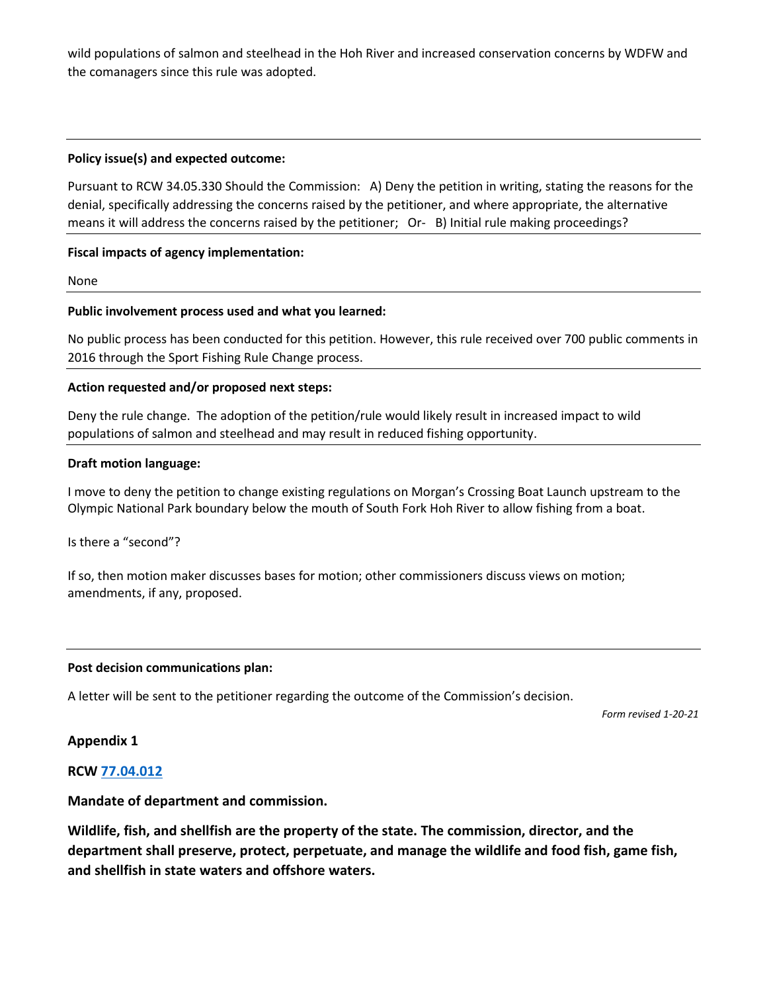wild populations of salmon and steelhead in the Hoh River and increased conservation concerns by WDFW and the comanagers since this rule was adopted.

# **Policy issue(s) and expected outcome:**

Pursuant to RCW 34.05.330 Should the Commission: A) Deny the petition in writing, stating the reasons for the denial, specifically addressing the concerns raised by the petitioner, and where appropriate, the alternative means it will address the concerns raised by the petitioner; Or- B) Initial rule making proceedings?

## **Fiscal impacts of agency implementation:**

None

## **Public involvement process used and what you learned:**

No public process has been conducted for this petition. However, this rule received over 700 public comments in 2016 through the Sport Fishing Rule Change process.

## **Action requested and/or proposed next steps:**

Deny the rule change. The adoption of the petition/rule would likely result in increased impact to wild populations of salmon and steelhead and may result in reduced fishing opportunity.

#### **Draft motion language:**

I move to deny the petition to change existing regulations on Morgan's Crossing Boat Launch upstream to the Olympic National Park boundary below the mouth of South Fork Hoh River to allow fishing from a boat.

Is there a "second"?

If so, then motion maker discusses bases for motion; other commissioners discuss views on motion; amendments, if any, proposed.

#### **Post decision communications plan:**

A letter will be sent to the petitioner regarding the outcome of the Commission's decision.

*Form revised 1-20-21*

#### **Appendix 1**

# **RCW [77.04.012](http://app.leg.wa.gov/RCW/default.aspx?cite=77.04.012)**

# **Mandate of department and commission.**

**Wildlife, fish, and shellfish are the property of the state. The commission, director, and the department shall preserve, protect, perpetuate, and manage the wildlife and food fish, game fish, and shellfish in state waters and offshore waters.**